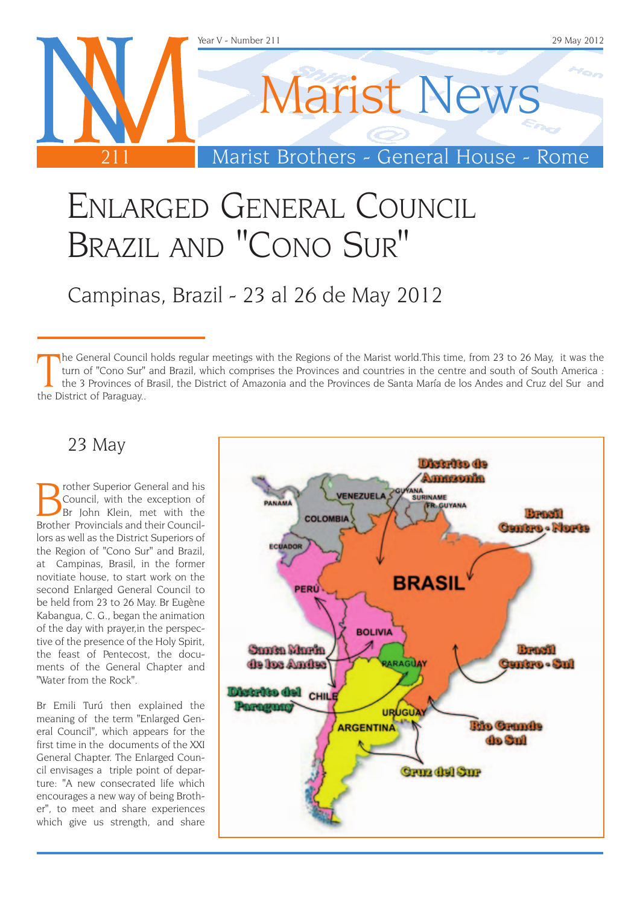

## Enlarged General Council Brazil and "Cono Sur"

## Campinas, Brazil - 23 al 26 de May 2012

The General Counci<br>
turn of "Cono Sur"<br>
the 3 Provinces of<br>
the District of Paraguay.. he General Council holds regular meetings with the Regions of the Marist world.This time, from 23 to 26 May, it was the turn of "Cono Sur" and Brazil, which comprises the Provinces and countries in the centre and south of South America : the 3 Provinces of Brasil, the District of Amazonia and the Provinces de Santa María de los Andes and Cruz del Sur and

#### 23 May

**Brother Superior General and his Council, with the exception of Brother Provincials and their Council.** Council, with the exception of Brother Provincials and their Councillors as well as the District Superiors of the Region of "Cono Sur" and Brazil, at Campinas, Brasil, in the former novitiate house, to start work on the second Enlarged General Council to be held from 23 to 26 May. Br Eugène Kabangua, C. G., began the animation of the day with prayer,in the perspective of the presence of the Holy Spirit, the feast of Pentecost, the documents of the General Chapter and "Water from the Rock".

Br Emili Turú then explained the meaning of the term "Enlarged General Council", which appears for the first time in the documents of the XXI General Chapter. The Enlarged Council envisages a triple point of departure: "A new consecrated life which encourages a new way of being Brother", to meet and share experiences which give us strength, and share

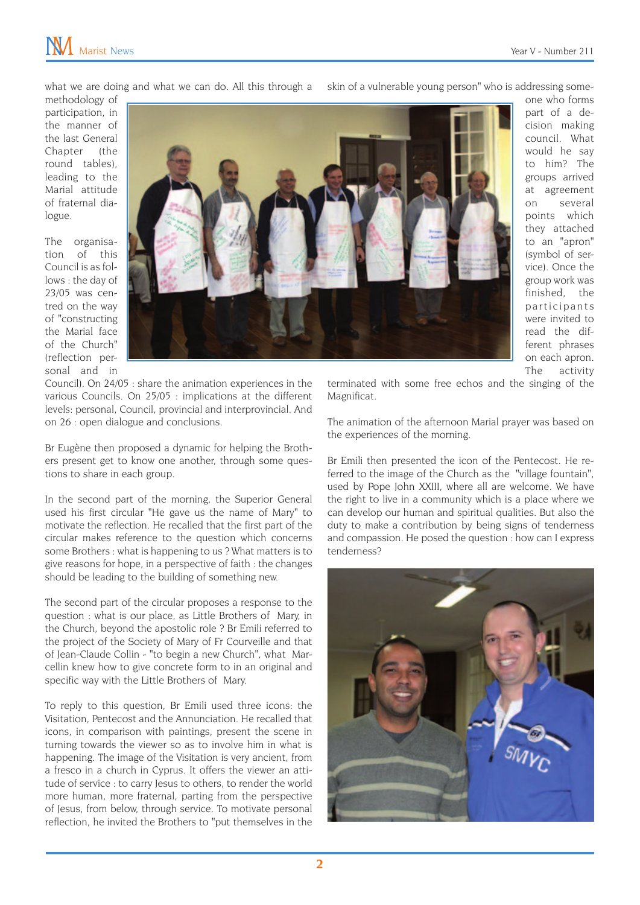what we are doing and what we can do. All this through a

skin of a vulnerable young person" who is addressing some-

methodology of participation, in the manner of the last General Chapter (the round tables), leading to the Marial attitude of fraternal dialogue.

The organisation of this Council is as follows : the day of 23/05 was centred on the way of "constructing the Marial face of the Church" (reflection personal and in



one who forms part of a decision making council. What would he say to him? The groups arrived at agreement on several points which they attached to an "apron" (symbol of service). Once the group work was finished, the p articipants were invited to read the different phrases on each apron. The activity

Council). On 24/05 : share the animation experiences in the various Councils. On 25/05 : implications at the different levels: personal, Council, provincial and interprovincial. And on 26 : open dialogue and conclusions.

Br Eugène then proposed a dynamic for helping the Brothers present get to know one another, through some questions to share in each group.

In the second part of the morning, the Superior General used his first circular "He gave us the name of Mary" to motivate the reflection. He recalled that the first part of the circular makes reference to the question which concerns some Brothers : what is happening to us ? What matters is to give reasons for hope, in a perspective of faith : the changes should be leading to the building of something new.

The second part of the circular proposes a response to the question : what is our place, as Little Brothers of Mary, in the Church, beyond the apostolic role ? Br Emili referred to the project of the Society of Mary of Fr Courveille and that of Jean-Claude Collin - "to begin a new Church", what Marcellin knew how to give concrete form to in an original and specific way with the Little Brothers of Mary.

To reply to this question, Br Emili used three icons: the Visitation, Pentecost and the Annunciation. He recalled that icons, in comparison with paintings, present the scene in turning towards the viewer so as to involve him in what is happening. The image of the Visitation is very ancient, from a fresco in a church in Cyprus. It offers the viewer an attitude of service : to carry Jesus to others, to render the world more human, more fraternal, parting from the perspective of Jesus, from below, through service. To motivate personal reflection, he invited the Brothers to "put themselves in the

terminated with some free echos and the singing of the Magnificat.

The animation of the afternoon Marial prayer was based on the experiences of the morning.

Br Emili then presented the icon of the Pentecost. He referred to the image of the Church as the "village fountain", used by Pope John XXIII, where all are welcome. We have the right to live in a community which is a place where we can develop our human and spiritual qualities. But also the duty to make a contribution by being signs of tenderness and compassion. He posed the question : how can I express tenderness?

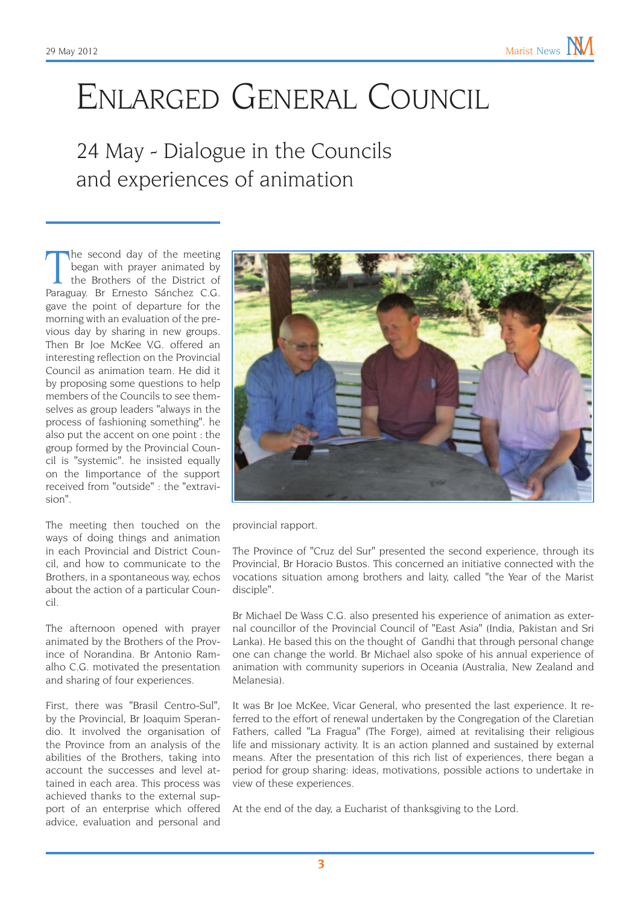# Enlarged General Council

24 May - Dialogue in the Councils and experiences of animation

The second day of the meeting<br>began with prayer animated by<br>the Brothers of the District of<br>Paraguay. Br Ernesto Sánchez C.G. the second day of the meeting began with prayer animated by the Brothers of the District of gave the point of departure for the morning with an evaluation of the previous day by sharing in new groups. Then Br Joe McKee V.G. offered an interesting reflection on the Provincial Council as animation team. He did it by proposing some questions to help members of the Councils to see themselves as group leaders "always in the process of fashioning something". he also put the accent on one point : the group formed by the Provincial Council is "systemic". he insisted equally on the Iimportance of the support received from "outside" : the "extravision".

The meeting then touched on the ways of doing things and animation in each Provincial and District Council, and how to communicate to the Brothers, in a spontaneous way, echos about the action of a particular Council.

The afternoon opened with prayer animated by the Brothers of the Province of Norandina. Br Antonio Ramalho C.G. motivated the presentation and sharing of four experiences.

First, there was "Brasil Centro-Sul", by the Provincial, Br Joaquim Sperandio. It involved the organisation of the Province from an analysis of the abilities of the Brothers, taking into account the successes and level attained in each area. This process was achieved thanks to the external support of an enterprise which offered advice, evaluation and personal and



provincial rapport.

The Province of "Cruz del Sur" presented the second experience, through its Provincial, Br Horacio Bustos. This concerned an initiative connected with the vocations situation among brothers and laity, called "the Year of the Marist disciple".

Br Michael De Wass C.G. also presented his experience of animation as external councillor of the Provincial Council of "East Asia" (India, Pakistan and Sri Lanka). He based this on the thought of Gandhi that through personal change one can change the world. Br Michael also spoke of his annual experience of animation with community superiors in Oceania (Australia, New Zealand and Melanesia).

It was Br Joe McKee, Vicar General, who presented the last experience. It referred to the effort of renewal undertaken by the Congregation of the Claretian Fathers, called "La Fragua" (The Forge), aimed at revitalising their religious life and missionary activity. It is an action planned and sustained by external means. After the presentation of this rich list of experiences, there began a period for group sharing: ideas, motivations, possible actions to undertake in view of these experiences.

At the end of the day, a Eucharist of thanksgiving to the Lord.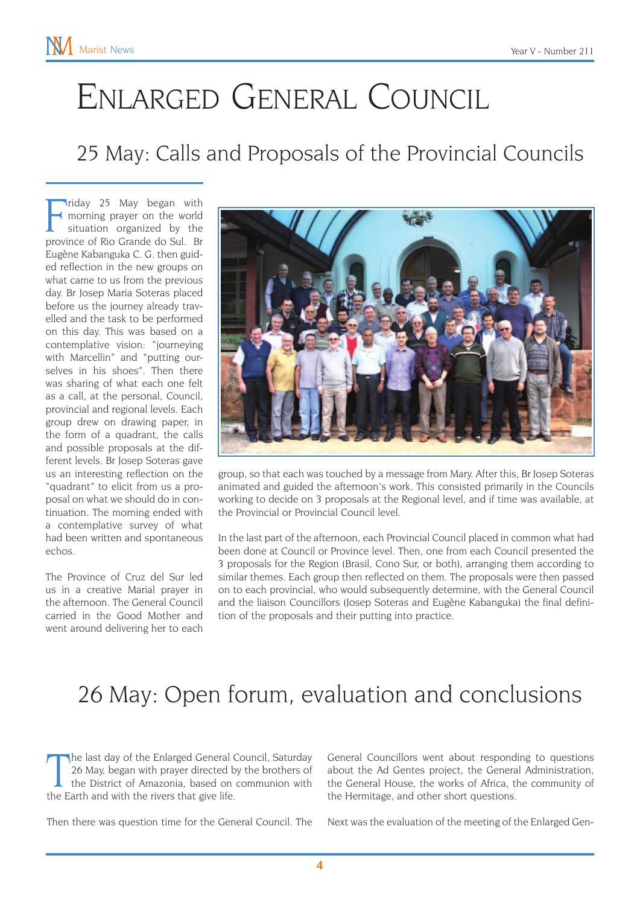# Enlarged General Council

### 25 May: Calls and Proposals of the Provincial Councils

riday 25 May began with<br>
morning prayer on the world<br>
situation organized by the<br>
province of Rio Grande do Sul. Br riday 25 May began with morning prayer on the world situation organized by the Eugène Kabanguka C. G. then guided reflection in the new groups on what came to us from the previous day. Br Josep Maria Soteras placed before us the journey already travelled and the task to be performed on this day. This was based on a contemplative vision: "journeying with Marcellin" and "putting ourselves in his shoes". Then there was sharing of what each one felt as a call, at the personal, Council, provincial and regional levels. Each group drew on drawing paper, in the form of a quadrant, the calls and possible proposals at the different levels. Br Josep Soteras gave us an interesting reflection on the "quadrant" to elicit from us a proposal on what we should do in continuation. The morning ended with a contemplative survey of what had been written and spontaneous echos.

The Province of Cruz del Sur led us in a creative Marial prayer in the afternoon. The General Council carried in the Good Mother and went around delivering her to each



group, so that each was touched by a message from Mary. After this, Br Josep Soteras animated and guided the afternoon's work. This consisted primarily in the Councils working to decide on 3 proposals at the Regional level, and if time was available, at the Provincial or Provincial Council level.

In the last part of the afternoon, each Provincial Council placed in common what had been done at Council or Province level. Then, one from each Council presented the 3 proposals for the Region (Brasil, Cono Sur, or both), arranging them according to similar themes. Each group then reflected on them. The proposals were then passed on to each provincial, who would subsequently determine, with the General Council and the liaison Councillors (Josep Soteras and Eugène Kabanguka) the final definition of the proposals and their putting into practice.

## 26 May: Open forum, evaluation and conclusions

The last day of the Enlarged General (26 May, began with prayer directed by the District of Amazonia, based on the Earth and with the rivers that give life. he last day of the Enlarged General Council, Saturday 26 May, began with prayer directed by the brothers of the District of Amazonia, based on communion with

Then there was question time for the General Council. The

General Councillors went about responding to questions about the Ad Gentes project, the General Administration, the General House, the works of Africa, the community of the Hermitage, and other short questions.

Next was the evaluation of the meeting of the Enlarged Gen-